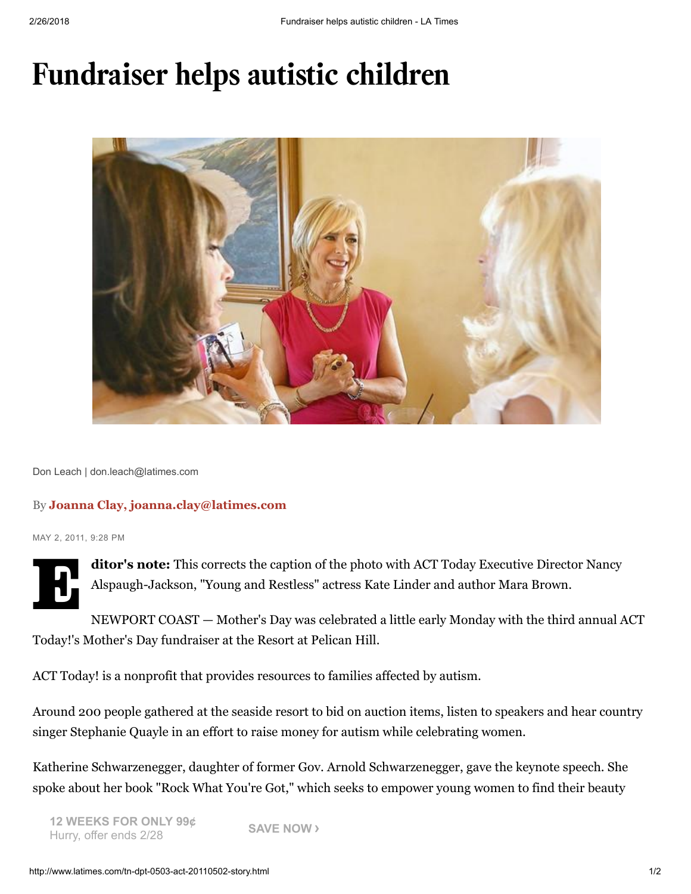## Fundraiser helps autistic children



Don Leach | don.leach@latimes.com

## By Joanna Clay, joanna.clay@latimes.com

MAY 2, 2011, 9:28 PM



ditor's note: This corrects the caption of the photo with ACT Today Executive Director Nancy Alspaugh-Jackson, "Young and Restless" actress Kate Linder and author Mara Brown.

NEWPORT COAST — Mother's Day was celebrated a little early Monday with the third annual ACT Today!'s Mother's Day fundraiser at the Resort at Pelican Hill.

ACT Today! is a nonprofit that provides resources to families affected by autism.

Around 200 people gathered at the seaside resort to bid on auction items, listen to speakers and hear country singer Stephanie Quayle in an effort to raise money for autism while celebrating women.

Katherine Schwarzenegger, daughter of former Gov. Arnold Schwarzenegger, gave the keynote speech. She spoke about her book "Rock What You're Got," which seeks to empower young women to find their beauty

12 WEEKS FOR ONLY 99¢ Hurry, offer ends 2/28 **SAVE NOW** >